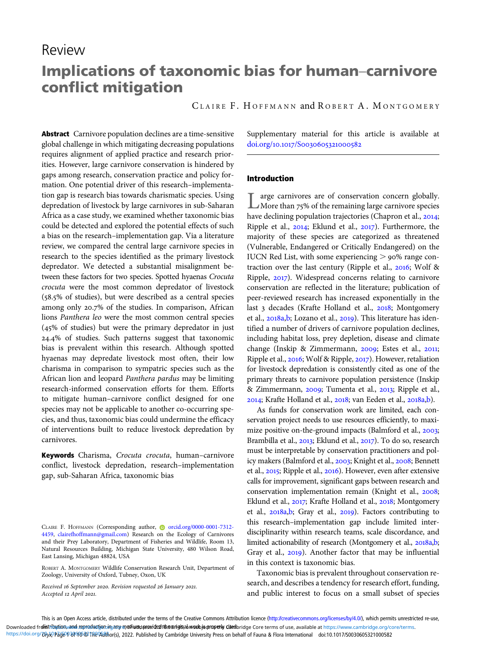# Review

# Implications of taxonomic bias for human–carnivore conflict mitigation

C LAIRE F. H OFFMANN and R OBERT A. M ONTGOMERY

Abstract Carnivore population declines are a time-sensitive global challenge in which mitigating decreasing populations requires alignment of applied practice and research priorities. However, large carnivore conservation is hindered by gaps among research, conservation practice and policy formation. One potential driver of this research–implementation gap is research bias towards charismatic species. Using depredation of livestock by large carnivores in sub-Saharan Africa as a case study, we examined whether taxonomic bias could be detected and explored the potential effects of such a bias on the research–implementation gap. Via a literature review, we compared the central large carnivore species in research to the species identified as the primary livestock depredator. We detected a substantial misalignment between these factors for two species. Spotted hyaenas Crocuta crocuta were the most common depredator of livestock  $(58.5\%$  of studies), but were described as a central species among only 20.7% of the studies. In comparison, African lions Panthera leo were the most common central species  $(45\% \text{ of studies})$  but were the primary depredator in just 24.4% of studies. Such patterns suggest that taxonomic bias is prevalent within this research. Although spotted hyaenas may depredate livestock most often, their low charisma in comparison to sympatric species such as the African lion and leopard Panthera pardus may be limiting research-informed conservation efforts for them. Efforts to mitigate human–carnivore conflict designed for one species may not be applicable to another co-occurring species, and thus, taxonomic bias could undermine the efficacy of interventions built to reduce livestock depredation by carnivores.

Keywords Charisma, Crocuta crocuta, human-carnivore conflict, livestock depredation, research–implementation gap, sub-Saharan Africa, taxonomic bias

ROBERT A. MONTGOMERY Wildlife Conservation Research Unit, Department of Zoology, University of Oxford, Tubney, Oxon, UK

Received 16 September 2020. Revision requested 26 January 2021. Accepted 12 April 2021.

Supplementary material for this article is available at doi.org/10.1017/S0030605321000582

# Introduction

Large carnivores are of conservation concern globally.<br>More than  $75\%$  of the remaining large carnivore species have declining population trajectories (Chapron et al., 2014; Ripple et al.,  $2014$ ; Eklund et al.,  $2017$ ). Furthermore, the majority of these species are categorized as threatened (Vulnerable, Endangered or Critically Endangered) on the IUCN Red List, with some experiencing  $>$  90% range contraction over the last century (Ripple et al.,  $2016$ ; Wolf & Ripple, 2017). Widespread concerns relating to carnivore conservation are reflected in the literature; publication of peer-reviewed research has increased exponentially in the last 3 decades (Krafte Holland et al., 2018; Montgomery et al., 2018a,[b;](#page-9-0) Lozano et al., 2019). This literature has identified a number of drivers of carnivore population declines, including habitat loss, prey depletion, disease and climate change (Inskip & Zimmermann, 2009; Estes et al., 2011; Ripple et al., 2016; Wolf & Ripple, 2017). However, retaliation for livestock depredation is consistently cited as one of the primary threats to carnivore population persistence (Inskip & Zimmermann, 2009; Tumenta et al., 2013; Ripple et al., 2014; Krafte Holland et al., 2018; van Eeden et al., 2018a,[b\)](#page-9-0).

As funds for conservation work are limited, each conservation project needs to use resources efficiently, to maximize positive on-the-ground impacts (Balmford et al., 2003; Brambilla et al., 2013; Eklund et al., 2017). To do so, research must be interpretable by conservation practitioners and policy makers (Balmford et al., 2003; Knight et al., 2008; Bennett et al., 2015; Ripple et al., 2016). However, even after extensive calls for improvement, significant gaps between research and conservation implementation remain (Knight et al., 2008; Eklund et al., 2017; Krafte Holland et al., 2018; Montgomery et al.,  $2018a,b$ ; Gray et al.,  $2019$ ). Factors contributing to this research–implementation gap include limited interdisciplinarity within research teams, scale discordance, and limited actiona[b](#page-9-0)ility of research (Montgomery et al., 2018a,b; Gray et al., 2019). Another factor that may be influential in this context is taxonomic bias.

Taxonomic bias is prevalent throughout conservation research, and describes a tendency for research effort, funding, and public interest to focus on a small subset of species

CLAIRE F. HOFFMANN (Corresponding author, corred.org/0000-0001-7312-[4459](https://orcid.org/0000-0001-7312-4459), [clairefhoffmann@gmail.com\)](mailto:clairefhoffmann@gmail.com) Research on the Ecology of Carnivores and their Prey Laboratory, Department of Fisheries and Wildlife, Room 13, Natural Resources Building, Michigan State University, 480 Wilson Road, East Lansing, Michigan 48824, USA

This is an Open Access article, distributed under the terms of the Creative Commons Attribution licence (<http://creativecommons.org/licenses/by/4.0/>), which permits unrestricted re-use, Downloaded fr**olis[tribution, and reproduction in any m](https://www.cambridge.org/core)edium provided the original work jearnperly Cised**bridge Core terms of use, available at <https://www.cambridge.org/core/terms>. https://doi.org/*Dryx)* Pade P34 40 @ The Author(s), 2022. Published by Cambridge University Press on behalf of Fauna & Flora International doi:10.1017/S0030605321000582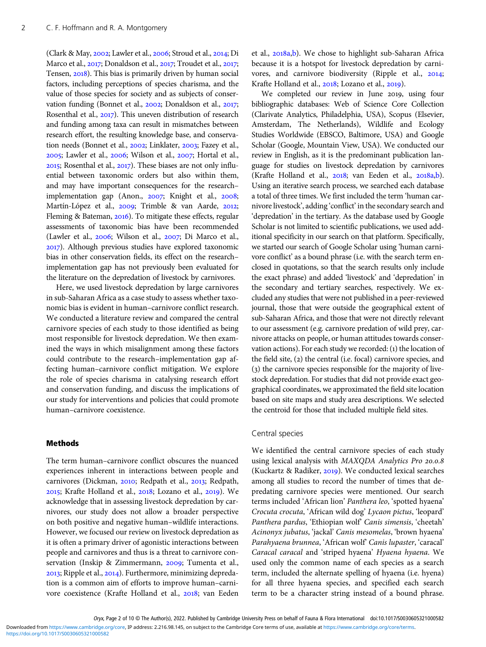(Clark & May,  $2002$ ; Lawler et al.,  $2006$ ; Stroud et al.,  $2014$ ; Di Marco et al., 2017; Donaldson et al., 2017; Troudet et al., 2017; Tensen, 2018). This bias is primarily driven by human social factors, including perceptions of species charisma, and the value of those species for society and as subjects of conservation funding (Bonnet et al., 2002; Donaldson et al., 2017; Rosenthal et al., 2017). This uneven distribution of research and funding among taxa can result in mismatches between research effort, the resulting knowledge base, and conservation needs (Bonnet et al., 2002; Linklater, 2003; Fazey et al.,  $2005$ ; Lawler et al.,  $2006$ ; Wilson et al.,  $2007$ ; Hortal et al.,  $2015$ ; Rosenthal et al.,  $2017$ ). These biases are not only influential between taxonomic orders but also within them, and may have important consequences for the research– implementation gap (Anon., 2007; Knight et al., 2008; Martín-López et al., 2009; Trimble & van Aarde, 2012; Fleming & Bateman,  $2016$ ). To mitigate these effects, regular assessments of taxonomic bias have been recommended (Lawler et al.,  $2006$ ; Wilson et al.,  $2007$ ; Di Marco et al., ). Although previous studies have explored taxonomic bias in other conservation fields, its effect on the research– implementation gap has not previously been evaluated for the literature on the depredation of livestock by carnivores.

Here, we used livestock depredation by large carnivores in sub-Saharan Africa as a case study to assess whether taxonomic bias is evident in human–carnivore conflict research. We conducted a literature review and compared the central carnivore species of each study to those identified as being most responsible for livestock depredation. We then examined the ways in which misalignment among these factors could contribute to the research–implementation gap affecting human–carnivore conflict mitigation. We explore the role of species charisma in catalysing research effort and conservation funding, and discuss the implications of our study for interventions and policies that could promote human–carnivore coexistence.

#### Methods

The term human–carnivore conflict obscures the nuanced experiences inherent in interactions between people and carnivores (Dickman, 2010; Redpath et al., 2013; Redpath, 2015; Krafte Holland et al., 2018; Lozano et al., 2019). We acknowledge that in assessing livestock depredation by carnivores, our study does not allow a broader perspective on both positive and negative human–wildlife interactions. However, we focused our review on livestock depredation as it is often a primary driver of agonistic interactions between people and carnivores and thus is a threat to carnivore conservation (Inskip & Zimmermann, 2009; Tumenta et al., 2013; Ripple et al., 2014). Furthermore, minimizing depredation is a common aim of efforts to improve human–carnivore coexistence (Krafte Holland et al., 2018; van Eeden

et al., 2018a[,b](#page-9-0)). We chose to highlight sub-Saharan Africa because it is a hotspot for livestock depredation by carnivores, and carnivore biodiversity (Ripple et al., 2014; Krafte Holland et al., 2018; Lozano et al., 2019).

We completed our review in June 2019, using four bibliographic databases: Web of Science Core Collection (Clarivate Analytics, Philadelphia, USA), Scopus (Elsevier, Amsterdam, The Netherlands), Wildlife and Ecology Studies Worldwide (EBSCO, Baltimore, USA) and Google Scholar (Google, Mountain View, USA). We conducted our review in English, as it is the predominant publication language for studies on livestock depredation by carnivores (Krafte Holland et al.,  $2018$ ; van Eeden et al.,  $2018a$ ,[b\)](#page-9-0). Using an iterative search process, we searched each database a total of three times. We first included the term 'human carnivore livestock', adding 'conflict' in the secondary search and 'depredation' in the tertiary. As the database used by Google Scholar is not limited to scientific publications, we used additional specificity in our search on that platform. Specifically, we started our search of Google Scholar using 'human carnivore conflict' as a bound phrase (i.e. with the search term enclosed in quotations, so that the search results only include the exact phrase) and added 'livestock' and 'depredation' in the secondary and tertiary searches, respectively. We excluded any studies that were not published in a peer-reviewed journal, those that were outside the geographical extent of sub-Saharan Africa, and those that were not directly relevant to our assessment (e.g. carnivore predation of wild prey, carnivore attacks on people, or human attitudes towards conservation actions). For each study we recorded: (1) the location of the field site,  $(z)$  the central (i.e. focal) carnivore species, and  $(3)$  the carnivore species responsible for the majority of livestock depredation. For studies that did not provide exact geographical coordinates, we approximated the field site location based on site maps and study area descriptions. We selected the centroid for those that included multiple field sites.

#### Central species

We identified the central carnivore species of each study using lexical analysis with MAXQDA Analytics Pro 20.0.8 (Kuckartz & Radiker,  $2019$ ). We conducted lexical searches among all studies to record the number of times that depredating carnivore species were mentioned. Our search terms included 'African lion' Panthera leo, 'spotted hyaena' Crocuta crocuta, 'African wild dog' Lycaon pictus, 'leopard' Panthera pardus, 'Ethiopian wolf' Canis simensis, 'cheetah' Acinonyx jubatus, 'jackal' Canis mesomelas, 'brown hyaena' Parahyaena brunnea, 'African wolf Canis lupaster, 'caracal' Caracal caracal and 'striped hyaena' Hyaena hyaena. We used only the common name of each species as a search term, included the alternate spelling of hyaena (i.e. hyena) for all three hyaena species, and specified each search term to be a character string instead of a bound phrase.

<https://doi.org/10.1017/S0030605321000582>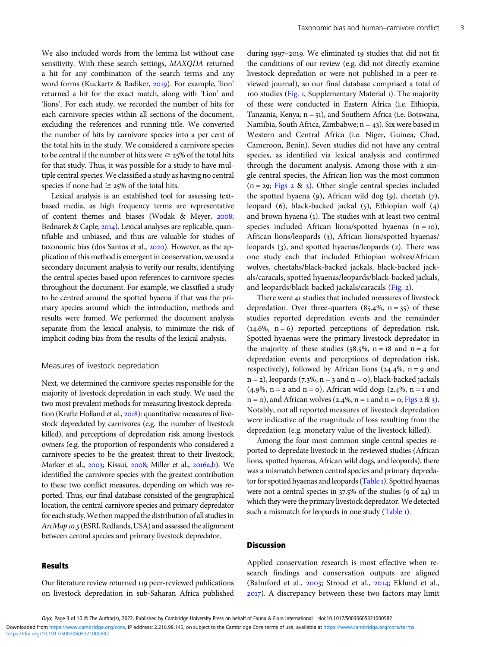We also included words from the lemma list without case sensitivity. With these search settings, MAXQDA returned a hit for any combination of the search terms and any word forms (Kuckartz & Radiker, 2019). For example, 'lion' returned a hit for the exact match, along with 'Lion' and 'lions'. For each study, we recorded the number of hits for each carnivore species within all sections of the document, excluding the references and running title. We converted the number of hits by carnivore species into a per cent of the total hits in the study. We considered a carnivore species to be central if the number of hits were  $\geq$  25% of the total hits for that study. Thus, it was possible for a study to have multiple central species. We classified a study as having no central species if none had  $\geq$  25% of the total hits.

Lexical analysis is an established tool for assessing textbased media, as high frequency terms are representative of content themes and biases (Wodak & Meyer, 2008; Bednarek & Caple, 2014). Lexical analyses are replicable, quantifiable and unbiased, and thus are valuable for studies of taxonomic bias (dos Santos et al., 2020). However, as the application of this method is emergent in conservation, we used a secondary document analysis to verify our results, identifying the central species based upon references to carnivore species throughout the document. For example, we classified a study to be centred around the spotted hyaena if that was the primary species around which the introduction, methods and results were framed. We performed the document analysis separate from the lexical analysis, to minimize the risk of implicit coding bias from the results of the lexical analysis.

#### Measures of livestock depredation

Next, we determined the carnivore species responsible for the majority of livestock depredation in each study. We used the two most prevalent methods for measuring livestock depredation (Krafte Holland et al., 2018): quantitative measures of livestock depredated by carnivores (e.g. the number of livestock killed), and perceptions of depredation risk among livestock owners (e.g. the proportion of respondents who considered a carnivore species to be the greatest threat to their livestock; Marker et al., 2003; Kissui, 2008; Miller et al., 2016a[,b](#page-8-0)). We identified the carnivore species with the greatest contribution to these two conflict measures, depending on which was reported. Thus, our final database consisted of the geographical location, the central carnivore species and primary depredator for each study. We then mapped the distribution of all studies in ArcMap 10.5 (ESRI, Redlands, USA) and assessed the alignment between central species and primary livestock depredator.

## Results

Our literature review returned 119 peer-reviewed publications on livestock depredation in sub-Saharan Africa published

during 1997-2019. We eliminated 19 studies that did not fit the conditions of our review (e.g. did not directly examine livestock depredation or were not published in a peer-reviewed journal), so our final database comprised a total of 100 studies [\(Fig.](#page-3-0) 1, Supplementary Material 1). The majority of these were conducted in Eastern Africa (i.e. Ethiopia, Tanzania, Kenya;  $n = 51$ ), and Southern Africa (i.e. Botswana, Namibia, South Africa, Zimbabwe;  $n = 43$ ). Six were based in Western and Central Africa (i.e. Niger, Guinea, Chad, Cameroon, Benin). Seven studies did not have any central species, as identified via lexical analysis and confirmed through the document analysis. Among those with a single central species, the African lion was the most common  $(n = 29;$  [Figs](#page-3-0)  $2 \& 3)$ . Other single central species included the spotted hyaena (9), African wild dog (9), cheetah  $(7)$ , leopard  $(6)$ , black-backed jackal  $(5)$ , Ethiopian wolf  $(4)$ and brown hyaena (). The studies with at least two central species included African lions/spotted hyaenas  $(n = 10)$ , African lions/leopards (3), African lions/spotted hyaenas/ leopards (3), and spotted hyaenas/leopards (2). There was one study each that included Ethiopian wolves/African wolves, cheetahs/black-backed jackals, black-backed jackals/caracals, spotted hyaenas/leopards/black-backed jackals, and leopards/black-backed jackals/caracals [\(Fig.](#page-3-0) 2).

There were 41 studies that included measures of livestock depredation. Over three-quarters  $(85.4\%, n = 35)$  of these studies reported depredation events and the remainder  $(14.6\%, n=6)$  reported perceptions of depredation risk. Spotted hyaenas were the primary livestock depredator in the majority of these studies (58.5%,  $n = 18$  and  $n = 4$  for depredation events and perceptions of depredation risk, respectively), followed by African lions (24.4%,  $n = 9$  and  $n = 2$ ), leopards (7.3%,  $n = 3$  and  $n = 0$ ), black-backed jackals  $(4.9\%, n = 2 \text{ and } n = 0)$ , African wild dogs  $(2.4\%, n = 1 \text{ and } 1.5\%)$  $n = 0$ , and African wolves (2.4%,  $n = 1$  and  $n = 0$ ; [Figs](#page-3-0) 2 & 3). Notably, not all reported measures of livestock depredation were indicative of the magnitude of loss resulting from the depredation (e.g. monetary value of the livestock killed).

Among the four most common single central species reported to depredate livestock in the reviewed studies (African lions, spotted hyaenas, African wild dogs, and leopards), there was a mismatch between central species and primary depreda-tor for spotted hyaenas and leopards [\(Table](#page-4-0) 1). Spotted hyaenas were not a central species in  $37.5\%$  of the studies (9 of 24) in which they were the primary livestock depredator.We detected such a mismatch for leopards in one study ([Table](#page-4-0) 1).

# **Discussion**

Applied conservation research is most effective when research findings and conservation outputs are aligned (Balmford et al., 2003; Stroud et al., 2014; Eklund et al., ). A discrepancy between these two factors may limit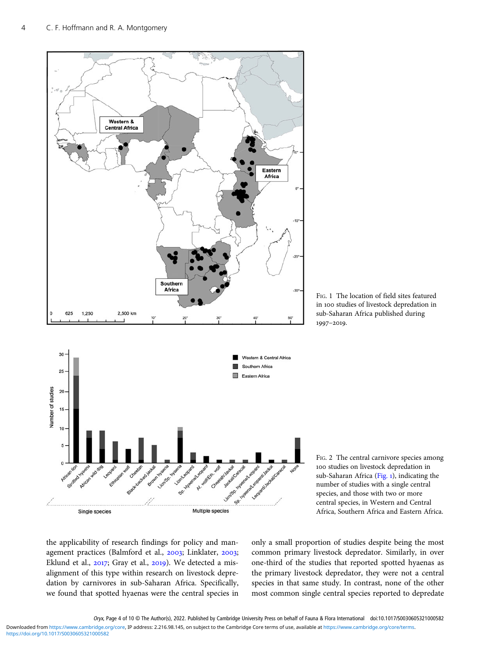<span id="page-3-0"></span>

FIG. 1 The location of field sites featured in 100 studies of livestock depredation in sub-Saharan Africa published during 1997-2019.



the applicability of research findings for policy and management practices (Balmford et al., 2003; Linklater, 2003; Eklund et al.,  $2017$ ; Gray et al.,  $2019$ ). We detected a misalignment of this type within research on livestock depredation by carnivores in sub-Saharan Africa. Specifically, we found that spotted hyaenas were the central species in

only a small proportion of studies despite being the most common primary livestock depredator. Similarly, in over one-third of the studies that reported spotted hyaenas as the primary livestock depredator, they were not a central species in that same study. In contrast, none of the other most common single central species reported to depredate

Oryx, Page 4 of 10 © The Author(s), 2022. Published by Cambridge University Press on behalf of Fauna & Flora International doi:10.1017/S0030605321000582

<https://doi.org/10.1017/S0030605321000582> Downloaded from<https://www.cambridge.org/core>, IP address: 2.216.98.145, on subject to the Cambridge Core terms of use, available at <https://www.cambridge.org/core/terms>.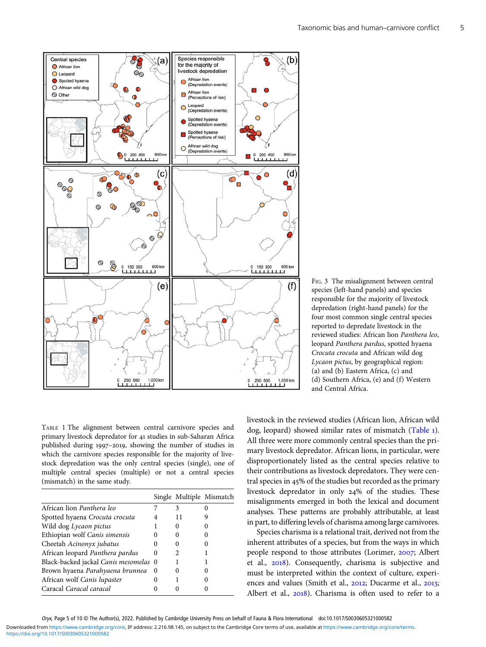<span id="page-4-0"></span>

FIG. 3 The misalignment between central species (left-hand panels) and species responsible for the majority of livestock depredation (right-hand panels) for the four most common single central species reported to depredate livestock in the reviewed studies: African lion Panthera leo, leopard Panthera pardus, spotted hyaena Crocuta crocuta and African wild dog Lycaon pictus, by geographical region: (a) and (b) Eastern Africa, (c) and (d) Southern Africa, (e) and (f) Western and Central Africa.

TABLE 1 The alignment between central carnivore species and primary livestock depredator for 41 studies in sub-Saharan Africa published during 1997-2019, showing the number of studies in which the carnivore species responsible for the majority of livestock depredation was the only central species (single), one of multiple central species (multiple) or not a central species (mismatch) in the same study.

|                                       |          |   | Single Multiple Mismatch |
|---------------------------------------|----------|---|--------------------------|
| African lion <i>Panthera leo</i>      |          | 3 |                          |
| Spotted hyaena Crocuta crocuta        | 4        |   |                          |
| Wild dog Lycaon pictus                |          |   |                          |
| Ethiopian wolf Canis simensis         | 0        |   |                          |
| Cheetah Acinonyx jubatus              |          |   |                          |
| African leopard Panthera pardus       | $\theta$ | 2 |                          |
| Black-backed jackal Canis mesomelas 0 |          |   |                          |
| Brown hyaena Parahyaena brunnea       | 0        |   |                          |
| African wolf Canis lupaster           |          |   |                          |
| Caracal Caracal caracal               |          |   |                          |

livestock in the reviewed studies (African lion, African wild dog, leopard) showed similar rates of mismatch (Table ). All three were more commonly central species than the primary livestock depredator. African lions, in particular, were disproportionately listed as the central species relative to their contributions as livestock depredators. They were central species in 45% of the studies but recorded as the primary livestock depredator in only 24% of the studies. These misalignments emerged in both the lexical and document analyses. These patterns are probably attributable, at least in part, to differing levels of charisma among large carnivores.

Species charisma is a relational trait, derived not from the inherent attributes of a species, but from the ways in which people respond to those attributes (Lorimer, 2007; Albert et al., 2018). Consequently, charisma is subjective and must be interpreted within the context of culture, experiences and values (Smith et al., 2012; Ducarme et al., 2013; Albert et al.,  $2018$ ). Charisma is often used to refer to a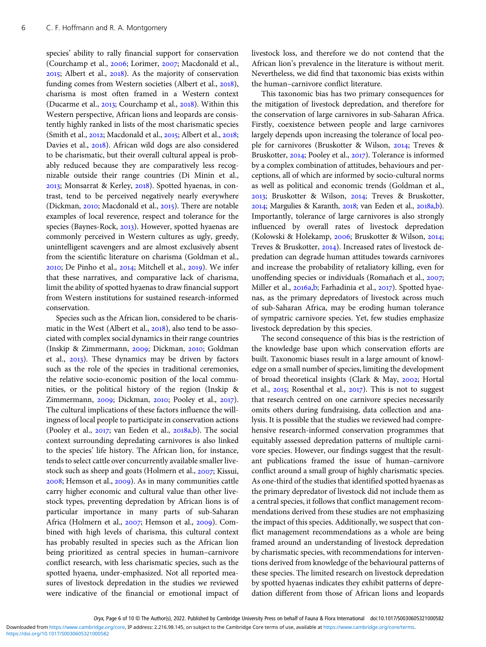species' ability to rally financial support for conservation (Courchamp et al., 2006; Lorimer, 2007; Macdonald et al., 2015; Albert et al., 2018). As the majority of conservation funding comes from Western societies (Albert et al., 2018), charisma is most often framed in a Western context (Ducarme et al., 2013; Courchamp et al., 2018). Within this Western perspective, African lions and leopards are consistently highly ranked in lists of the most charismatic species (Smith et al.,  $2012$ ; Macdonald et al.,  $2015$ ; Albert et al.,  $2018$ ; Davies et al., 2018). African wild dogs are also considered to be charismatic, but their overall cultural appeal is probably reduced because they are comparatively less recognizable outside their range countries (Di Minin et al., 2013; Monsarrat & Kerley, 2018). Spotted hyaenas, in contrast, tend to be perceived negatively nearly everywhere (Dickman, 2010; Macdonald et al., 2015). There are notable examples of local reverence, respect and tolerance for the species (Baynes-Rock, 2013). However, spotted hyaenas are commonly perceived in Western cultures as ugly, greedy, unintelligent scavengers and are almost exclusively absent from the scientific literature on charisma (Goldman et al.,  $2010$ ; De Pinho et al.,  $2014$ ; Mitchell et al.,  $2019$ ). We infer that these narratives, and comparative lack of charisma, limit the ability of spotted hyaenas to draw financial support from Western institutions for sustained research-informed conservation.

Species such as the African lion, considered to be charismatic in the West (Albert et al.,  $2018$ ), also tend to be associated with complex social dynamics in their range countries (Inskip & Zimmermann, 2009; Dickman, 2010; Goldman et al., 2013). These dynamics may be driven by factors such as the role of the species in traditional ceremonies, the relative socio-economic position of the local communities, or the political history of the region (Inskip & Zimmermann, 2009; Dickman, 2010; Pooley et al., 2017). The cultural implications of these factors influence the willingness of local people to participate in conservation actions (Pooley et al.,  $2017$ ; van Eeden et al.,  $2018a$ [,b](#page-9-0)). The social context surrounding depredating carnivores is also linked to the species' life history. The African lion, for instance, tends to select cattle over concurrently available smaller livestock such as sheep and goats (Holmern et al., 2007; Kissui, 2008; Hemson et al., 2009). As in many communities cattle carry higher economic and cultural value than other livestock types, preventing depredation by African lions is of particular importance in many parts of sub-Saharan Africa (Holmern et al., 2007; Hemson et al., 2009). Combined with high levels of charisma, this cultural context has probably resulted in species such as the African lion being prioritized as central species in human–carnivore conflict research, with less charismatic species, such as the spotted hyaena, under-emphasized. Not all reported measures of livestock depredation in the studies we reviewed were indicative of the financial or emotional impact of livestock loss, and therefore we do not contend that the African lion's prevalence in the literature is without merit. Nevertheless, we did find that taxonomic bias exists within the human–carnivore conflict literature.

This taxonomic bias has two primary consequences for the mitigation of livestock depredation, and therefore for the conservation of large carnivores in sub-Saharan Africa. Firstly, coexistence between people and large carnivores largely depends upon increasing the tolerance of local people for carnivores (Bruskotter & Wilson, 2014; Treves & Bruskotter, 2014; Pooley et al., 2017). Tolerance is informed by a complex combination of attitudes, behaviours and perceptions, all of which are informed by socio-cultural norms as well as political and economic trends (Goldman et al., 2013; Bruskotter & Wilson, 2014; Treves & Bruskotter, 2014; Margulies & Karanth, 2018; van Eeden et al., 2018a[,b\)](#page-9-0). Importantly, tolerance of large carnivores is also strongly influenced by overall rates of livestock depredation (Kolowski & Holekamp, 2006; Bruskotter & Wilson, 2014; Treves & Bruskotter, 2014). Increased rates of livestock depredation can degrade human attitudes towards carnivores and increase the probability of retaliatory killing, even for unoffending species or individuals (Romañach et al., 2007; Miller et al., 2016a,[b;](#page-8-0) Farhadinia et al., 2017). Spotted hyaenas, as the primary depredators of livestock across much of sub-Saharan Africa, may be eroding human tolerance of sympatric carnivore species. Yet, few studies emphasize livestock depredation by this species.

The second consequence of this bias is the restriction of the knowledge base upon which conservation efforts are built. Taxonomic biases result in a large amount of knowledge on a small number of species, limiting the development of broad theoretical insights (Clark & May, 2002; Hortal et al.,  $2015$ ; Rosenthal et al.,  $2017$ ). This is not to suggest that research centred on one carnivore species necessarily omits others during fundraising, data collection and analysis. It is possible that the studies we reviewed had comprehensive research-informed conservation programmes that equitably assessed depredation patterns of multiple carnivore species. However, our findings suggest that the resultant publications framed the issue of human–carnivore conflict around a small group of highly charismatic species. As one-third of the studies that identified spotted hyaenas as the primary depredator of livestock did not include them as a central species, it follows that conflict management recommendations derived from these studies are not emphasizing the impact of this species. Additionally, we suspect that conflict management recommendations as a whole are being framed around an understanding of livestock depredation by charismatic species, with recommendations for interventions derived from knowledge of the behavioural patterns of these species. The limited research on livestock depredation by spotted hyaenas indicates they exhibit patterns of depredation different from those of African lions and leopards

Downloaded from<https://www.cambridge.org/core>, IP address: 2.216.98.145, on subject to the Cambridge Core terms of use, available at <https://www.cambridge.org/core/terms>.

<https://doi.org/10.1017/S0030605321000582>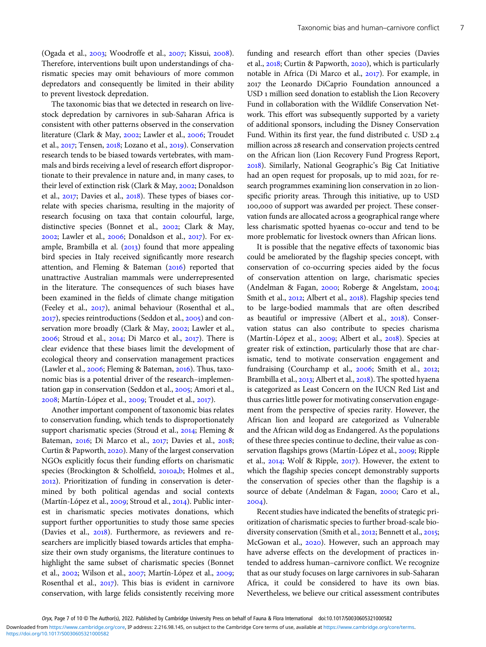$O$ gada et al.,  $2003$ ; Woodroffe et al.,  $2007$ ; Kissui,  $2008$ ). Therefore, interventions built upon understandings of charismatic species may omit behaviours of more common depredators and consequently be limited in their ability to prevent livestock depredation.

The taxonomic bias that we detected in research on livestock depredation by carnivores in sub-Saharan Africa is consistent with other patterns observed in the conservation literature (Clark & May, 2002; Lawler et al., 2006; Troudet et al.,  $2017$ ; Tensen,  $2018$ ; Lozano et al.,  $2019$ ). Conservation research tends to be biased towards vertebrates, with mammals and birds receiving a level of research effort disproportionate to their prevalence in nature and, in many cases, to their level of extinction risk (Clark & May, 2002; Donaldson et al., 2017; Davies et al., 2018). These types of biases correlate with species charisma, resulting in the majority of research focusing on taxa that contain colourful, large, distinctive species (Bonnet et al., 2002; Clark & May, 2002; Lawler et al., 2006; Donaldson et al., 2017). For example, Brambilla et al.  $(2013)$  found that more appealing bird species in Italy received significantly more research attention, and Fleming & Bateman  $(2016)$  reported that unattractive Australian mammals were underrepresented in the literature. The consequences of such biases have been examined in the fields of climate change mitigation (Feeley et al., 2017), animal behaviour (Rosenthal et al.,  $(2017)$ , species reintroductions (Seddon et al.,  $2005$ ) and conservation more broadly (Clark & May, 2002; Lawler et al.,  $2006$ ; Stroud et al.,  $2014$ ; Di Marco et al.,  $2017$ ). There is clear evidence that these biases limit the development of ecological theory and conservation management practices (Lawler et al., 2006; Fleming & Bateman, 2016). Thus, taxonomic bias is a potential driver of the research–implementation gap in conservation (Seddon et al., 2005; Amori et al., 2008; Martín-López et al., 2009; Troudet et al., 2017).

Another important component of taxonomic bias relates to conservation funding, which tends to disproportionately support charismatic species (Stroud et al., 2014; Fleming & Bateman, 2016; Di Marco et al., 2017; Davies et al., 2018; Curtin & Papworth, 2020). Many of the largest conservation NGOs explicitly focus their funding efforts on charismatic species (Brockington & Scholfield, 2010a[,b](#page-7-0); Holmes et al., ). Prioritization of funding in conservation is determined by both political agendas and social contexts (Martín-López et al., 2009; Stroud et al., 2014). Public interest in charismatic species motivates donations, which support further opportunities to study those same species (Davies et al., 2018). Furthermore, as reviewers and researchers are implicitly biased towards articles that emphasize their own study organisms, the literature continues to highlight the same subset of charismatic species (Bonnet et al., 2002; Wilson et al., 2007; Martín-López et al., 2009; Rosenthal et al., 2017). This bias is evident in carnivore conservation, with large felids consistently receiving more funding and research effort than other species (Davies et al.,  $2018$ ; Curtin & Papworth,  $2020$ ), which is particularly notable in Africa (Di Marco et al., 2017). For example, in the Leonardo DiCaprio Foundation announced a USD 1 million seed donation to establish the Lion Recovery Fund in collaboration with the Wildlife Conservation Network. This effort was subsequently supported by a variety of additional sponsors, including the Disney Conservation Fund. Within its first year, the fund distributed c. USD 2.4 million across 28 research and conservation projects centred on the African lion (Lion Recovery Fund Progress Report, ). Similarly, National Geographic's Big Cat Initiative had an open request for proposals, up to mid 2021, for research programmes examining lion conservation in 20 lionspecific priority areas. Through this initiative, up to USD 100,000 of support was awarded per project. These conservation funds are allocated across a geographical range where less charismatic spotted hyaenas co-occur and tend to be more problematic for livestock owners than African lions.

It is possible that the negative effects of taxonomic bias could be ameliorated by the flagship species concept, with conservation of co-occurring species aided by the focus of conservation attention on large, charismatic species (Andelman & Fagan, 2000; Roberge & Angelstam, 2004; Smith et al., 2012; Albert et al., 2018). Flagship species tend to be large-bodied mammals that are often described as beautiful or impressive (Albert et al., 2018). Conservation status can also contribute to species charisma (Martín-López et al., 2009; Albert et al., 2018). Species at greater risk of extinction, particularly those that are charismatic, tend to motivate conservation engagement and fundraising (Courchamp et al., 2006; Smith et al., 2012; Brambilla et al., 2013; Albert et al., 2018). The spotted hyaena is categorized as Least Concern on the IUCN Red List and thus carries little power for motivating conservation engagement from the perspective of species rarity. However, the African lion and leopard are categorized as Vulnerable and the African wild dog as Endangered. As the populations of these three species continue to decline, their value as conservation flagships grows (Martín-López et al., 2009; Ripple et al., 2014; Wolf & Ripple, 2017). However, the extent to which the flagship species concept demonstrably supports the conservation of species other than the flagship is a source of debate (Andelman & Fagan, 2000; Caro et al.,  $2004$ ).

Recent studies have indicated the benefits of strategic prioritization of charismatic species to further broad-scale biodiversity conservation (Smith et al., 2012; Bennett et al., 2015; McGowan et al., 2020). However, such an approach may have adverse effects on the development of practices intended to address human–carnivore conflict. We recognize that as our study focuses on large carnivores in sub-Saharan Africa, it could be considered to have its own bias. Nevertheless, we believe our critical assessment contributes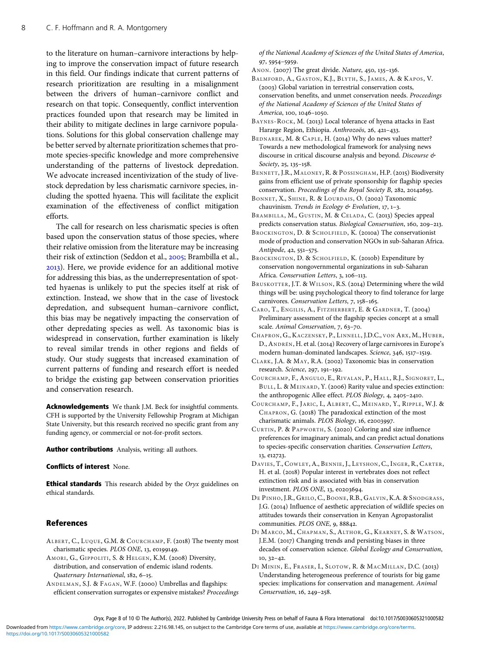<span id="page-7-0"></span>to the literature on human–carnivore interactions by helping to improve the conservation impact of future research in this field. Our findings indicate that current patterns of research prioritization are resulting in a misalignment between the drivers of human–carnivore conflict and research on that topic. Consequently, conflict intervention practices founded upon that research may be limited in their ability to mitigate declines in large carnivore populations. Solutions for this global conservation challenge may be better served by alternate prioritization schemes that promote species-specific knowledge and more comprehensive understanding of the patterns of livestock depredation. We advocate increased incentivization of the study of livestock depredation by less charismatic carnivore species, including the spotted hyaena. This will facilitate the explicit examination of the effectiveness of conflict mitigation efforts.

The call for research on less charismatic species is often based upon the conservation status of those species, where their relative omission from the literature may be increasing their risk of extinction (Seddon et al., 2005; Brambilla et al., ). Here, we provide evidence for an additional motive for addressing this bias, as the underrepresentation of spotted hyaenas is unlikely to put the species itself at risk of extinction. Instead, we show that in the case of livestock depredation, and subsequent human–carnivore conflict, this bias may be negatively impacting the conservation of other depredating species as well. As taxonomic bias is widespread in conservation, further examination is likely to reveal similar trends in other regions and fields of study. Our study suggests that increased examination of current patterns of funding and research effort is needed to bridge the existing gap between conservation priorities and conservation research.

Acknowledgements We thank J.M. Beck for insightful comments. CFH is supported by the University Fellowship Program at Michigan State University, but this research received no specific grant from any funding agency, or commercial or not-for-profit sectors.

Author contributions Analysis, writing: all authors.

#### Conflicts of interest None.

**Ethical standards** This research abided by the Oryx guidelines on ethical standards.

### **References**

ALBERT, C., LUQUE, G.M. & COURCHAMP, F. (2018) The twenty most charismatic species. PLOS ONE, 13, e0199149.

AMORI, G., GIPPOLITI, S. & HELGEN, K.M. (2008) Diversity, distribution, and conservation of endemic island rodents. Quaternary International,  $182, 6-15$ .

ANDELMAN, S.J. & FAGAN, W.F. (2000) Umbrellas and flagships: efficient conservation surrogates or expensive mistakes? Proceedings of the National Academy of Sciences of the United States of America, 97, 5954-5959.

- ANON. (2007) The great divide. Nature, 450, 135-136.
- BALMFORD, A., GASTON, K.J., BLYTH, S., JAMES, A. & KAPOS, V. (2003) Global variation in terrestrial conservation costs, conservation benefits, and unmet conservation needs. Proceedings of the National Academy of Sciences of the United States of America, 100, 1046-1050.
- BAYNES-ROCK, M. (2013) Local tolerance of hyena attacks in East Hararge Region, Ethiopia. Anthrozoös, 26, 421-433.
- BEDNAREK, M. & CAPLE, H. (2014) Why do news values matter? Towards a new methodological framework for analysing news discourse in critical discourse analysis and beyond. Discourse &  $Society, 25, 135 - 158.$
- BENNETT, J.R., MALONEY, R. & POSSINGHAM, H.P. (2015) Biodiversity gains from efficient use of private sponsorship for flagship species conservation. Proceedings of the Royal Society B,  $282$ ,  $20142693$ .
- BONNET, X., SHINE, R. & LOURDAIS, O. (2002) Taxonomic chauvinism. Trends in Ecology & Evolution,  $17, 1-3$ .
- BRAMBILLA, M., GUSTIN, M. & CELADA, C. (2013) Species appeal predicts conservation status. Biological Conservation, 160, 209-213.
- BROCKINGTON, D. & SCHOLFIELD, K. (2010a) The conservationist mode of production and conservation NGOs in sub-Saharan Africa. Antipode, 42, 551-575.
- BROCKINGTON, D. & SCHOLFIELD, K. (2010b) Expenditure by conservation nongovernmental organizations in sub-Saharan Africa. Conservation Letters, 3, 106-113.
- BRUSKOTTER, J.T. & WILSON, R.S. (2014) Determining where the wild things will be: using psychological theory to find tolerance for large carnivores. Conservation Letters, 7, 158-165.
- CARO, T., ENGILIS, A., FITZHERBERT, E. & GARDNER, T. (2004) Preliminary assessment of the flagship species concept at a small scale. Animal Conservation, 7, 63-70.
- CHAPRON, G., KACZENSKY, P., LINNELL, J.D.C., VON ARX, M., HUBER, D., ANDRÉN, H. et al. (2014) Recovery of large carnivores in Europe's modern human-dominated landscapes. Science, 346, 1517-1519.
- CLARK, J.A. & MAY, R.A. (2002) Taxonomic bias in conservation research. Science, 297, 191-192.
- COURCHAMP, F., ANGULO, E., RIVALAN, P., HALL, R.J., SIGNORET, L., BULL, L. & MEINARD, Y. (2006) Rarity value and species extinction: the anthropogenic Allee effect. PLOS Biology, 4, 2405-2410.
- COURCHAMP, F., JARIC, I., ALBERT, C., MEINARD, Y., RIPPLE, W.J. & CHAPRON, G. (2018) The paradoxical extinction of the most charismatic animals. PLOS Biology, 16, e2003997.
- CURTIN, P. & PAPWORTH, S. (2020) Coloring and size influence preferences for imaginary animals, and can predict actual donations to species-specific conservation charities. Conservation Letters, 13, e12723.
- DAVIES, T., COWLEY, A., BENNIE, J., LEYSHON, C., INGER, R., CARTER, H. et al. (2018) Popular interest in vertebrates does not reflect extinction risk and is associated with bias in conservation investment. PLOS ONE, 13, e0203694.
- DE PINHO, J.R., GRILO, C., BOONE, R.B., GALVIN, K.A. & SNODGRASS, J.G. (2014) Influence of aesthetic appreciation of wildlife species on attitudes towards their conservation in Kenyan Agropastoralist communities. PLOS ONE, 9, 88842.
- DI MARCO, M., CHAPMAN, S., ALTHOR, G., KEARNEY, S. & WATSON, J.E.M. (2017) Changing trends and persisting biases in three decades of conservation science. Global Ecology and Conservation,  $10, 32 - 42.$
- DI MININ, E., FRASER, I., SLOTOW, R. & MACMILLAN, D.C. (2013) Understanding heterogeneous preference of tourists for big game species: implications for conservation and management. Animal Conservation, 16, 249-258.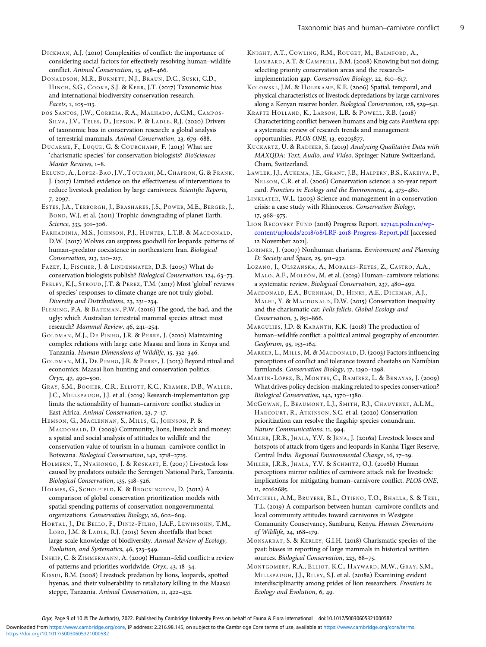<span id="page-8-0"></span>DICKMAN, A.J. (2010) Complexities of conflict: the importance of considering social factors for effectively resolving human–wildlife conflict. Animal Conservation, 13, 458-466.

DONALDSON, M.R., BURNETT, N.J., BRAUN, D.C., SUSKI, C.D., HINCH, S.G., COOKE, S.J. & KERR, J.T. (2017) Taxonomic bias and international biodiversity conservation research.  $Facets$ ,  $1, 105 - 113$ .

DOS SANTOS , J.W., CORREIA, R.A., MALHADO, A.C.M., CAMPOS-SILVA, J.V., TELES, D., JEPSON, P. & LADLE, R.J. (2020) Drivers of taxonomic bias in conservation research: a global analysis of terrestrial mammals. Animal Conservation, 23, 679-688.

DUCARME, F., LUQUE, G. & COURCHAMP, F. (2013) What are 'charismatic species' for conservation biologists? BioSciences Master Reviews, 1-8.

EKLUND, A., LÓPEZ-BAO, J.V., TOURANI, M., CHAPRON, G. & FRANK, J. (2017) Limited evidence on the effectiveness of interventions to reduce livestock predation by large carnivores. Scientific Reports, 7, 2097.

ESTES , J.A., TERBORGH, J., BRASHARES , J.S., POWER, M.E., BERGER, J., BOND, W.J. et al. (2011) Trophic downgrading of planet Earth. Science, 333, 301-306.

FARHADINIA, M.S., JOHNSON, P.J., HUNTER, L.T.B. & MACDONALD, D.W. (2017) Wolves can suppress goodwill for leopards: patterns of human–predator coexistence in northeastern Iran. Biological Conservation, 213, 210-217.

FAZEY, I., FISCHER, J. & LINDENMAYER, D.B. (2005) What do conservation biologists publish? Biological Conservation, 124, 63-73.

FEELEY, K.J., STROUD, J.T. & PEREZ, T.M. (2017) Most 'global' reviews of species' responses to climate change are not truly global. Diversity and Distributions, 23, 231-234.

FLEMING, P.A. & BATEMAN, P.W. (2016) The good, the bad, and the ugly: which Australian terrestrial mammal species attract most research? Mammal Review, 46, 241-254.

GOLDMAN, M.J., DE PINHO, J.R. & PERRY, J. (2010) Maintaining complex relations with large cats: Maasai and lions in Kenya and Tanzania. Human Dimensions of Wildlife, 15, 332-346.

GOLDMAN, M.J., DE PINHO, J.R. & PERRY, J. (2013) Beyond ritual and economics: Maasai lion hunting and conservation politics.  $Orrx$ , 47, 490-500.

GRAY, S.M., BOOHER, C.R., ELLIOTT, K.C., KRAMER, D.B., WALLER, J.C., MILLSPAUGH, J.J. et al. (2019) Research-implementation gap limits the actionability of human–carnivore conflict studies in East Africa. Animal Conservation, 23, 7-17.

HEMSON, G., MACLENNAN, S., MILLS, G., JOHNSON, P. & MACDONALD, D. (2009) Community, lions, livestock and money: a spatial and social analysis of attitudes to wildlife and the conservation value of tourism in a human–carnivore conflict in Botswana. Biological Conservation, 142, 2718-2725.

HOLMERN, T., NYAHONGO, J. & RØSKAFT, E. (2007) Livestock loss caused by predators outside the Serengeti National Park, Tanzania. Biological Conservation, 135, 518-526.

HOLMES, G., SCHOLFIELD, K. & BROCKINGTON, D. (2012) A comparison of global conservation prioritization models with spatial spending patterns of conservation nongovernmental organizations. Conservation Biology, 26, 602-609.

HORTAL, J., DE BELLO, F., DINIZ-FILHO, J.A.F., LEWINSOHN, T.M., LOBO, J.M. & LADLE, R.J. (2015) Seven shortfalls that beset large-scale knowledge of biodiversity. Annual Review of Ecology, Evolution, and Systematics, 46, 523-549.

INSKIP, C. & ZIMMERMANN, A. (2009) Human-felid conflict: a review of patterns and priorities worldwide. Oryx,  $43, 18-34$ .

KISSUI, B.M. (2008) Livestock predation by lions, leopards, spotted hyenas, and their vulnerability to retaliatory killing in the Maasai steppe, Tanzania. Animal Conservation, 11, 422-432.

KNIGHT, A.T., COWLING, R.M., ROUGET, M., BALMFORD, A., LOMBARD, A.T. & CAMPBELL, B.M. (2008) Knowing but not doing: selecting priority conservation areas and the researchimplementation gap. Conservation Biology, 22, 610-617.

KOLOWSKI, J.M. & HOLEKAMP, K.E. (2006) Spatial, temporal, and physical characteristics of livestock depredations by large carnivores along a Kenyan reserve border. Biological Conservation, 128, 529-541.

KRAFTE HOLLAND, K., LARSON, L.R. & POWELL, R.B. (2018) Characterizing conflict between humans and big cats Panthera spp: a systematic review of research trends and management  $\overrightarrow{O}$ opportunities. PLOS ONE, 13, e0203877.

KUCKARTZ, U. & RADIKER, S. (2019) Analyzing Qualitative Data with MAXQDA: Text, Audio, and Video. Springer Nature Switzerland, Cham, Switzerland.

LAWLER, J.J., AUKEMA, J.E., GRANT, J.B., HALPERN, B.S., KAREIVA, P., NELSON, C.R. et al. (2006) Conservation science: a 20-year report card. Frontiers in Ecology and the Environment,  $4, 473-480$ .

LINKLATER, W.L. (2003) Science and management in a conservation crisis: a case study with Rhinoceros. Conservation Biology, 17, 968-975.

LION RECOVERY FUND (2018) Progress Report. s27142[.pcdn.co/wp-](https://s27142.pcdn.co/wp-content/uploads/2018/08/LRF-2018-Progress-Report.pdf)content/uploads/2018/08/LRF-2018[-Progress-Report.pdf](https://s27142.pcdn.co/wp-content/uploads/2018/08/LRF-2018-Progress-Report.pdf) [accessed 12 November 2021].

LORIMER, J. (2007) Nonhuman charisma. Environment and Planning  $D:$  Society and Space, 25, 911-932.

LOZANO, J., OLSZAŃSKA, A., MORALES -REYES, Z., CASTRO, A.A., MALO, A.F., MOLEÓN, M. et al. (2019) Human-carnivore relations: a systematic review. Biological Conservation, 237, 480-492.

MACDONALD, E.A., BURNHAM, D., HINKS, A.E., DICKMAN, A.J., MALHI, Y. & MACDONALD, D.W. (2015) Conservation inequality and the charismatic cat: Felis felicis. Global Ecology and Conservation, 3, 851-866.

MARGULIES, J.D. & KARANTH, K.K. (2018) The production of human–wildlife conflict: a political animal geography of encounter. Geoforum, 95, 153-164.

MARKER, L., MILLS, M. & MACDONALD, D. (2003) Factors influencing perceptions of conflict and tolerance toward cheetahs on Namibian farmlands. Conservation Biology, 17, 1290-1298.

MARTÍN-LÓPEZ, B., MONTES, C., RAMÍREZ, L. & BENAYAS, J. (2009) What drives policy decision-making related to species conservation? Biological Conservation, 142, 1370-1380.

MCGOWAN, J., BEAUMONT, L.J., SMITH, R.J., CHAUVENET, A.L.M., HARCOURT, R., ATKINSON, S.C. et al. (2020) Conservation prioritization can resolve the flagship species conundrum. Nature Communications, 11, 994.

MILLER, J.R.B., JHALA, Y.V. & JENA, J. (2016a) Livestock losses and hotspots of attack from tigers and leopards in Kanha Tiger Reserve, Central India. Regional Environmental Change, 16, 17-29.

MILLER, J.R.B., JHALA, Y.V. & SCHMITZ, O.J. (2016b) Human perceptions mirror realities of carnivore attack risk for livestock: implications for mitigating human–carnivore conflict. PLOS ONE, 11, e0162685.

MITCHELL, A.M., BRUYERE, B.L., OTIENO, T.O., BHALLA, S. & TEEL, T.L. (2019) A comparison between human–carnivore conflicts and local community attitudes toward carnivores in Westgate Community Conservancy, Samburu, Kenya. Human Dimensions of Wildlife, 24, 168-179.

MONSARRAT, S. & KERLEY, G.I.H. (2018) Charismatic species of the past: biases in reporting of large mammals in historical written sources. Biological Conservation, 223, 68-75.

MONTGOMERY, R.A., ELLIOT, K.C., HAYWARD, M.W., GRAY, S.M., MILLSPAUGH, J.J., RILEY, S.J. et al. (2018a) Examining evident interdisciplinarity among prides of lion researchers. Frontiers in Ecology and Evolution, 6, 49.